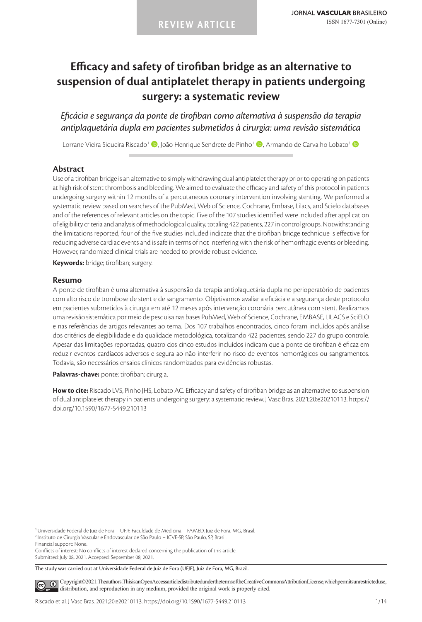# **Efficacy and safety of tirofiban bridge as an alternative to suspension of dual antiplatelet therapy in patients undergoing surgery: a systematic review**

*Eficácia e segurança da ponte de tirofiban como alternativa à suspensão da terapia antiplaquetária dupla em pacientes submetidos à cirurgia: uma revisão sistemática*

Lorrane Vieira Siqueira Riscado<sup>1</sup> (D. João Henrique Sendrete de Pinho<sup>1</sup> (D. Armando de Carvalho Lobato<sup>2</sup> (D.

## **Abstract**

Use of a tirofiban bridge is an alternative to simply withdrawing dual antiplatelet therapy prior to operating on patients at high risk of stent thrombosis and bleeding. We aimed to evaluate the efficacy and safety of this protocol in patients undergoing surgery within 12 months of a percutaneous coronary intervention involving stenting. We performed a systematic review based on searches of the PubMed, Web of Science, Cochrane, Embase, Lilacs, and Scielo databases and of the references of relevant articles on the topic. Five of the 107 studies identified were included after application of eligibility criteria and analysis of methodological quality, totaling 422 patients, 227 in control groups. Notwithstanding the limitations reported, four of the five studies included indicate that the tirofiban bridge technique is effective for reducing adverse cardiac events and is safe in terms of not interfering with the risk of hemorrhagic events or bleeding. However, randomized clinical trials are needed to provide robust evidence.

**Keywords:** bridge; tirofiban; surgery.

#### **Resumo**

A ponte de tirofiban é uma alternativa à suspensão da terapia antiplaquetária dupla no perioperatório de pacientes com alto risco de trombose de stent e de sangramento. Objetivamos avaliar a eficácia e a segurança deste protocolo em pacientes submetidos à cirurgia em até 12 meses após intervenção coronária percutânea com stent. Realizamos uma revisão sistemática por meio de pesquisa nas bases PubMed, Web of Science, Cochrane, EMBASE, LILACS e SciELO e nas referências de artigos relevantes ao tema. Dos 107 trabalhos encontrados, cinco foram incluídos após análise dos critérios de elegibilidade e da qualidade metodológica, totalizando 422 pacientes, sendo 227 do grupo controle. Apesar das limitações reportadas, quatro dos cinco estudos incluídos indicam que a ponte de tirofiban é eficaz em reduzir eventos cardíacos adversos e segura ao não interferir no risco de eventos hemorrágicos ou sangramentos. Todavia, são necessários ensaios clínicos randomizados para evidências robustas.

**Palavras-chave:** ponte; tirofiban; cirurgia.

**How to cite:** Riscado LVS, Pinho JHS, Lobato AC. Efficacy and safety of tirofiban bridge as an alternative to suspension of dual antiplatelet therapy in patients undergoing surgery: a systematic review. J Vasc Bras. 2021;20:e20210113. https:// doi.org/10.1590/1677-5449.210113

<sup>2</sup> Instituto de Cirurgia Vascular e Endovascular de São Paulo – ICVE-SP, São Paulo, SP, Brasil.

Financial support: None.

Conflicts of interest: No conflicts of interest declared concerning the publication of this article. Submitted: July 08, 2021. Accepted: September 08, 2021.

The study was carried out at Universidade Federal de Juiz de Fora (UFJF), Juiz de Fora, MG, Brazil.

[C](https://creativecommons.org/licenses/by/4.0/)opyright©2021. The authors. This is an Open Access article distributed under the terms of the Creative Commons Attribution License, which permits unrestricted use,  $\odot$ distribution, and reproduction in any medium, provided the original work is properly cited.

<sup>1</sup>Universidade Federal de Juiz de Fora – UFJF, Faculdade de Medicina – FAMED, Juiz de Fora, MG, Brasil.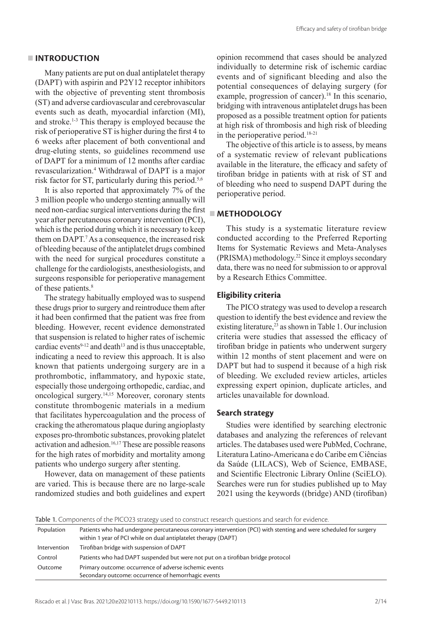## **INTRODUCTION**

Many patients are put on dual antiplatelet therapy (DAPT) with aspirin and P2Y12 receptor inhibitors with the objective of preventing stent thrombosis (ST) and adverse cardiovascular and cerebrovascular events such as death, myocardial infarction (MI), and stroke.1-3 This therapy is employed because the risk of perioperative ST is higher during the first 4 to 6 weeks after placement of both conventional and drug-eluting stents, so guidelines recommend use of DAPT for a minimum of 12 months after cardiac revascularization.<sup>4</sup> Withdrawal of DAPT is a major risk factor for ST, particularly during this period.<sup>5,6</sup>

It is also reported that approximately 7% of the 3 million people who undergo stenting annually will need non-cardiac surgical interventions during the first year after percutaneous coronary intervention (PCI), which is the period during which it is necessary to keep them on DAPT.7 As a consequence, the increased risk of bleeding because of the antiplatelet drugs combined with the need for surgical procedures constitute a challenge for the cardiologists, anesthesiologists, and surgeons responsible for perioperative management of these patients.<sup>8</sup>

The strategy habitually employed was to suspend these drugs prior to surgery and reintroduce them after it had been confirmed that the patient was free from bleeding. However, recent evidence demonstrated that suspension is related to higher rates of ischemic cardiac events<sup>9-12</sup> and death<sup>13</sup> and is thus unacceptable, indicating a need to review this approach. It is also known that patients undergoing surgery are in a prothrombotic, inflammatory, and hypoxic state, especially those undergoing orthopedic, cardiac, and oncological surgery.14,1<sup>5</sup> Moreover, coronary stents constitute thrombogenic materials in a medium that facilitates hypercoagulation and the process of cracking the atheromatous plaque during angioplasty exposes pro-thrombotic substances, provoking platelet activation and adhesion.<sup>16,17</sup> These are possible reasons for the high rates of morbidity and mortality among patients who undergo surgery after stenting.

However, data on management of these patients are varied. This is because there are no large-scale randomized studies and both guidelines and expert opinion recommend that cases should be analyzed individually to determine risk of ischemic cardiac events and of significant bleeding and also the potential consequences of delaying surgery (for example, progression of cancer).<sup>18</sup> In this scenario, bridging with intravenous antiplatelet drugs has been proposed as a possible treatment option for patients at high risk of thrombosis and high risk of bleeding in the perioperative period.18-21

The objective of this article is to assess, by means of a systematic review of relevant publications available in the literature, the efficacy and safety of tirofiban bridge in patients with at risk of ST and of bleeding who need to suspend DAPT during the perioperative period.

# **METHODOLOGY**

This study is a systematic literature review conducted according to the Preferred Reporting Items for Systematic Reviews and Meta-Analyses (PRISMA) methodology.22 Since it employs secondary data, there was no need for submission to or approval by a Research Ethics Committee.

## **Eligibility criteria**

The PICO strategy was used to develop a research question to identify the best evidence and review the existing literature,<sup>23</sup> as shown in Table 1. Our inclusion criteria were studies that assessed the efficacy of tirofiban bridge in patients who underwent surgery within 12 months of stent placement and were on DAPT but had to suspend it because of a high risk of bleeding. We excluded review articles, articles expressing expert opinion, duplicate articles, and articles unavailable for download.

# **Search strategy**

Studies were identified by searching electronic databases and analyzing the references of relevant articles. The databases used were PubMed, Cochrane, Literatura Latino-Americana e do Caribe em Ciências da Saúde (LILACS), Web of Science, EMBASE, and Scientific Electronic Library Online (SciELO). Searches were run for studies published up to May 2021 using the keywords ((bridge) AND (tirofiban)

Table 1. Components of the PICO23 strategy used to construct research questions and search for evidence. Population Patients who had undergone percutaneous coronary intervention (PCI) with stenting and were scheduled for surgery within 1 year of PCI while on dual antiplatelet therapy (DAPT) Intervention Tirofiban bridge with suspension of DAPT Control Patients who had DAPT suspended but were not put on a tirofiban bridge protocol Outcome Primary outcome: occurrence of adverse ischemic events Secondary outcome: occurrence of hemorrhagic events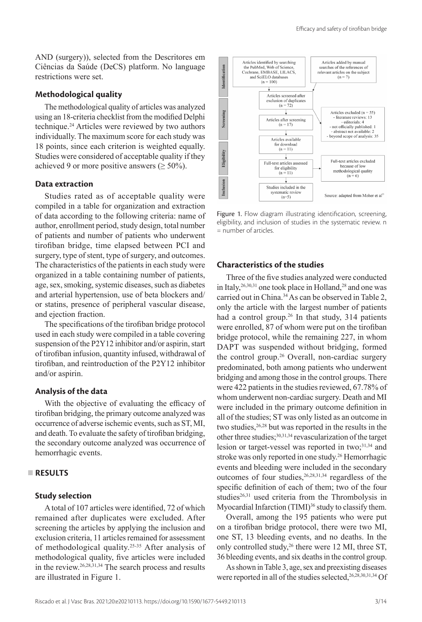AND (surgery)), selected from the Descritores em Ciências da Saúde (DeCS) platform. No language restrictions were set.

## **Methodological quality**

The methodological quality of articles was analyzed using an 18-criteria checklist from the modified Delphi technique.2<sup>4</sup> Articles were reviewed by two authors individually. The maximum score for each study was 18 points, since each criterion is weighted equally. Studies were considered of acceptable quality if they achieved 9 or more positive answers ( $\geq 50\%$ ).

#### **Data extraction**

Studies rated as of acceptable quality were compiled in a table for organization and extraction of data according to the following criteria: name of author, enrollment period, study design, total number of patients and number of patients who underwent tirofiban bridge, time elapsed between PCI and surgery, type of stent, type of surgery, and outcomes. The characteristics of the patients in each study were organized in a table containing number of patients, age, sex, smoking, systemic diseases, such as diabetes and arterial hypertension, use of beta blockers and/ or statins, presence of peripheral vascular disease, and ejection fraction.

The specifications of the tirofiban bridge protocol used in each study were compiled in a table covering suspension of the P2Y12 inhibitor and/or aspirin, start of tirofiban infusion, quantity infused, withdrawal of tirofiban, and reintroduction of the P2Y12 inhibitor and/or aspirin.

#### **Analysis of the data**

With the objective of evaluating the efficacy of tirofiban bridging, the primary outcome analyzed was occurrence of adverse ischemic events, such as ST, MI, and death. To evaluate the safety of tirofiban bridging, the secondary outcome analyzed was occurrence of hemorrhagic events.

## **RESULTS**

## **Study selection**

A total of 107 articles were identified, 72 of which remained after duplicates were excluded. After screening the articles by applying the inclusion and exclusion criteria, 11 articles remained for assessment of methodological quality.<sup>25-35</sup> After analysis of methodological quality, five articles were included in the review.26,28,31,3<sup>4</sup> The search process and results are illustrated in Figure 1.



Figure 1. Flow diagram illustrating identification, screening, eligibility, and inclusion of studies in the systematic review. n = number of articles.

## **Characteristics of the studies**

Three of the five studies analyzed were conducted in Italy,  $26,30,31$  one took place in Holland,  $28$  and one was carried out in China.3<sup>4</sup> As can be observed in Table 2, only the article with the largest number of patients had a control group.<sup>26</sup> In that study, 314 patients were enrolled, 87 of whom were put on the tirofiban bridge protocol, while the remaining 227, in whom DAPT was suspended without bridging, formed the control group.<sup>26</sup> Overall, non-cardiac surgery predominated, both among patients who underwent bridging and among those in the control groups. There were 422 patients in the studies reviewed, 67.78% of whom underwent non-cardiac surgery. Death and MI were included in the primary outcome definition in all of the studies; ST was only listed as an outcome in two studies,  $26,28$  but was reported in the results in the other three studies;<sup>30,31,34</sup> revascularization of the target lesion or target-vessel was reported in two;<sup>31,34</sup> and stroke was only reported in one study.<sup>26</sup> Hemorrhagic events and bleeding were included in the secondary outcomes of four studies,  $26,28,31,34$  regardless of the specific definition of each of them; two of the four studies $26,31$  used criteria from the Thrombolysis in Myocardial Infarction (TIMI)<sup>36</sup> study to classify them.

Overall, among the 195 patients who were put on a tirofiban bridge protocol, there were two MI, one ST, 13 bleeding events, and no deaths. In the only controlled study,<sup>26</sup> there were 12 MI, three ST, 36 bleeding events, and six deaths in the control group.

As shown in Table 3, age, sex and preexisting diseases were reported in all of the studies selected, 26, 28, 30, 31, 34 Of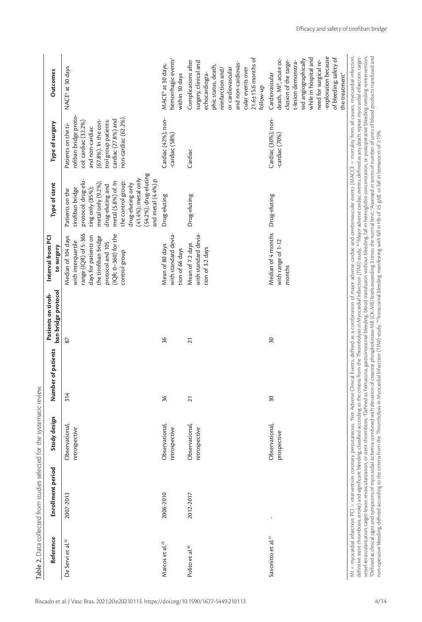|                                | Enrollment period | Study design                    | Number of patients | ban bridge protocol | Interval from PCI<br>to surgery                                                                                                                                               | Type of stent                                                                                                                                                                                                                                                        | Type of surgery                                                                                                                                                                       | <b>Outcomes</b>                                                                                                                                                                                                                                                |
|--------------------------------|-------------------|---------------------------------|--------------------|---------------------|-------------------------------------------------------------------------------------------------------------------------------------------------------------------------------|----------------------------------------------------------------------------------------------------------------------------------------------------------------------------------------------------------------------------------------------------------------------|---------------------------------------------------------------------------------------------------------------------------------------------------------------------------------------|----------------------------------------------------------------------------------------------------------------------------------------------------------------------------------------------------------------------------------------------------------------|
| De Servi et al. <sup>26</sup>  | 2007-2013         | Observational,<br>retrospective | 314                | 87                  | range (IQR) of 5-365<br>(IQR: 0-360) for the<br>days for patients on<br>the tirofiban bridge<br>Median of 104 days<br>with interquartile<br>protocol and 105<br>control group | (54.2%); drug-eluting<br>$(41.4\%)$ ; metal only<br>protocol: drug-elu-<br>and metal (4.4%).p<br>metal (5.8%) of. In<br>the control group:<br>metal only (9.2%);<br>drug-eluting only<br>drug-eluting and<br>ting only (85%);<br>tirofiban bridge<br>Patients on the | rofiban bridge proto<br>non-cardiac (62.2%).<br>cardiac (27.8%) and<br>(67.8%). In the con-<br>trol group patients:<br>col: cardiac (32.2%)<br>Patients on the ti-<br>and non-cardiac | NACE <sup>a</sup> at 30 days                                                                                                                                                                                                                                   |
| Marcos et al. <sup>28</sup>    | 2006-2010         | Observational,<br>retrospective | 36                 | 96                  | with standard devia<br>Mean of 80 days<br>tion of 66 days                                                                                                                     | Drug-eluting                                                                                                                                                                                                                                                         | Cardiac (42%); non-<br>-cardiac (58%)                                                                                                                                                 | hemorrhagic events <sup>c</sup><br>MACE <sup>b</sup> at 30 days;<br>within 30 days                                                                                                                                                                             |
| Polito et al. <sup>30</sup>    | 2012-2017         | Observational,<br>retrospective | $\overline{21}$    | $\overline{2}$      | with standard devia-<br>Mean of 7.2 days<br>tion of 3.2 days                                                                                                                  | Drug-eluting                                                                                                                                                                                                                                                         | Cardiac                                                                                                                                                                               | $21.6 \pm 15.6$ months of<br>Complications after<br>surgery, clinical and<br>and non-cardiovas-<br>phic status, death,<br>or cardiovascular<br>reinfarction and/<br>cular events over<br>echocardiogra-<br>follow-up                                           |
| Savonitto et al. <sup>31</sup> |                   | Observational,<br>prospective   | $\overline{50}$    | 50                  | Median of 4 months<br>with range of 1-12<br>months                                                                                                                            | Drug-eluting                                                                                                                                                                                                                                                         | Cardiac (30%); non-<br>-cardiac (70%                                                                                                                                                  | -exploration because<br>of bleeding; safety of<br>while in hospital and<br>death, MI <sup>d</sup> , acute oc-<br>ted angiographically<br>need for surgical re-<br>clusion of the targe-<br>t-lesion demonstra-<br>Cardiovascular<br>the treatment <sup>e</sup> |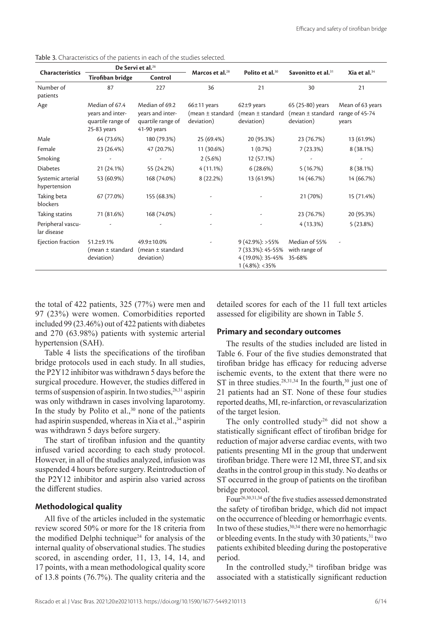| <b>Characteristics</b>            |                                                                        | De Servi et al. <sup>26</sup>                                            | Marcos et al. <sup>28</sup>                         | Polito et al. <sup>30</sup>                                                    | Savonitto et al. <sup>31</sup>                         | Xia et al. $34$                             |
|-----------------------------------|------------------------------------------------------------------------|--------------------------------------------------------------------------|-----------------------------------------------------|--------------------------------------------------------------------------------|--------------------------------------------------------|---------------------------------------------|
|                                   | <b>Tirofiban bridge</b>                                                | Control                                                                  |                                                     |                                                                                |                                                        |                                             |
| Number of<br>patients             | 87                                                                     | 227                                                                      | 36                                                  | 21                                                                             | 30                                                     | 21                                          |
| Age                               | Median of 67.4<br>years and inter-<br>quartile range of<br>25-83 years | Median of 69.2<br>years and inter-<br>quartile range of<br>$41-90$ years | $66±11$ years<br>(mean $\pm$ standard<br>deviation) | $62±9$ years<br>(mean $\pm$ standard<br>deviation)                             | 65 (25-80) years<br>(mean $\pm$ standard<br>deviation) | Mean of 63 years<br>range of 45-74<br>years |
| Male                              | 64 (73.6%)                                                             | 180 (79.3%)                                                              | 25 (69.4%)                                          | 20 (95.3%)                                                                     | 23 (76.7%)                                             | 13 (61.9%)                                  |
| Female                            | 23 (26.4%)                                                             | 47 (20.7%)                                                               | 11 (30.6%)                                          | 1(0.7%)                                                                        | 7(23.3%)                                               | $8(38.1\%)$                                 |
| Smoking                           |                                                                        |                                                                          | $2(5.6\%)$                                          | 12 (57.1%)                                                                     |                                                        |                                             |
| <b>Diabetes</b>                   | 21 (24.1%)                                                             | 55 (24.2%)                                                               | $4(11.1\%)$                                         | 6(28.6%)                                                                       | 5(16.7%)                                               | $8(38.1\%)$                                 |
| Systemic arterial<br>hypertension | 53 (60.9%)                                                             | 168 (74.0%)                                                              | $8(22.2\%)$                                         | 13 (61.9%)                                                                     | 14 (46.7%)                                             | 14 (66.7%)                                  |
| Taking beta<br>blockers           | 67 (77.0%)                                                             | 155 (68.3%)                                                              |                                                     |                                                                                | 21 (70%)                                               | 15 (71.4%)                                  |
| Taking statins                    | 71 (81.6%)                                                             | 168 (74.0%)                                                              |                                                     |                                                                                | 23 (76.7%)                                             | 20 (95.3%)                                  |
| Peripheral vascu-<br>lar disease  |                                                                        |                                                                          |                                                     |                                                                                | 4(13.3%)                                               | 5(23.8%)                                    |
| Ejection fraction                 | $51.2 \pm 9.1\%$<br>(mean $\pm$ standard<br>deviation)                 | 49.9±10.0%<br>(mean $\pm$ standard<br>deviation)                         |                                                     | $9(42.9\%)$ : >55%<br>7 (33.3%): 45-55%<br>4 (19.0%): 35-45%<br>1 (4.8%): <35% | Median of 55%<br>with range of<br>35-68%               |                                             |

Table 3. Characteristics of the patients in each of the studies selected.

the total of 422 patients, 325 (77%) were men and 97 (23%) were women. Comorbidities reported included 99 (23.46%) out of 422 patients with diabetes and 270 (63.98%) patients with systemic arterial hypertension (SAH).

Table 4 lists the specifications of the tirofiban bridge protocols used in each study. In all studies, the P2Y12 inhibitor was withdrawn 5 days before the surgical procedure. However, the studies differed in terms of suspension of aspirin. In two studies,  $26,31$  aspirin was only withdrawn in cases involving laparotomy. In the study by Polito et al., $30$  none of the patients had aspirin suspended, whereas in Xia et al.,<sup>34</sup> aspirin was withdrawn 5 days before surgery.

The start of tirofiban infusion and the quantity infused varied according to each study protocol. However, in all of the studies analyzed, infusion was suspended 4 hours before surgery. Reintroduction of the P2Y12 inhibitor and aspirin also varied across the different studies.

# **Methodological quality**

All five of the articles included in the systematic review scored 50% or more for the 18 criteria from the modified Delphi technique<sup>24</sup> for analysis of the internal quality of observational studies. The studies scored, in ascending order, 11, 13, 14, 14, and 17 points, with a mean methodological quality score of 13.8 points (76.7%). The quality criteria and the

detailed scores for each of the 11 full text articles assessed for eligibility are shown in Table 5.

# **Primary and secondary outcomes**

The results of the studies included are listed in Table 6. Four of the five studies demonstrated that tirofiban bridge has efficacy for reducing adverse ischemic events, to the extent that there were no ST in three studies. $28,31,34$  In the fourth,  $30$  just one of 21 patients had an ST. None of these four studies reported deaths, MI, re-infarction, or revascularization of the target lesion.

The only controlled study<sup>26</sup> did not show a statistically significant effect of tirofiban bridge for reduction of major adverse cardiac events, with two patients presenting MI in the group that underwent tirofiban bridge. There were 12 MI, three ST, and six deaths in the control group in this study. No deaths or ST occurred in the group of patients on the tirofiban bridge protocol.

Four26,30,31,3<sup>4</sup> of the five studies assessed demonstrated the safety of tirofiban bridge, which did not impact on the occurrence of bleeding or hemorrhagic events. In two of these studies,  $30,34$  there were no hemorrhagic or bleeding events. In the study with 30 patients,<sup>31</sup> two patients exhibited bleeding during the postoperative period.

In the controlled study, $26$  tirofiban bridge was associated with a statistically significant reduction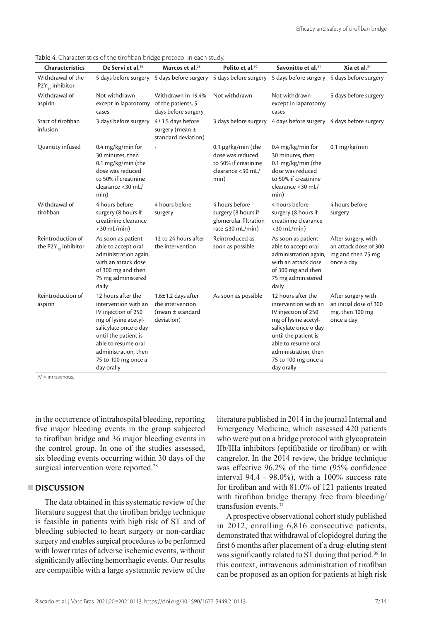| <b>Characteristics</b>                               | De Servi et al. <sup>26</sup>                                                                                                                                                                                                  | Marcos et al. <sup>28</sup>                                                        | Polito et al. <sup>30</sup>                                                                      | Savonitto et al. <sup>31</sup>                                                                                                                                                                                                 | Xia et al. $34$                                                                 |
|------------------------------------------------------|--------------------------------------------------------------------------------------------------------------------------------------------------------------------------------------------------------------------------------|------------------------------------------------------------------------------------|--------------------------------------------------------------------------------------------------|--------------------------------------------------------------------------------------------------------------------------------------------------------------------------------------------------------------------------------|---------------------------------------------------------------------------------|
| Withdrawal of the<br>$P2Y_{12}$ inhibitor            |                                                                                                                                                                                                                                |                                                                                    | 5 days before surgery 5 days before surgery 5 days before surgery 5 days before surgery          |                                                                                                                                                                                                                                | 5 days before surgery                                                           |
| Withdrawal of<br>aspirin                             | Not withdrawn<br>except in laparotomy of the patients, 5<br>cases                                                                                                                                                              | Withdrawn in 19.4%<br>days before surgery                                          | Not withdrawn                                                                                    | Not withdrawn<br>except in laparotomy<br>cases                                                                                                                                                                                 | 5 days before surgery                                                           |
| Start of tirofiban<br>infusion                       | 3 days before surgery 4±1.5 days before                                                                                                                                                                                        | surgery (mean $\pm$<br>standard deviation)                                         | 3 days before surgery                                                                            | 4 days before surgery 4 days before surgery                                                                                                                                                                                    |                                                                                 |
| Quantity infused                                     | $0.4$ mg/kg/min for<br>30 minutes, then<br>0.1 mg/kg/min (the<br>dose was reduced<br>to 50% if creatinine<br>clearance <30 mL/<br>min)                                                                                         |                                                                                    | $0.1 \mu$ g/kg/min (the<br>dose was reduced<br>to 50% if creatinine<br>clearance <30 mL/<br>min) | $0.4$ mg/kg/min for<br>30 minutes, then<br>0.1 mg/kg/min (the<br>dose was reduced<br>to 50% if creatinine<br>clearance <30 mL/<br>min)                                                                                         | $0.1$ mg/kg/min                                                                 |
| Withdrawal of<br>tirofiban                           | 4 hours before<br>surgery (8 hours if<br>creatinine clearance<br>$<$ 30 mL/min)                                                                                                                                                | 4 hours before<br>surgery                                                          | 4 hours before<br>surgery (8 hours if<br>glomerular filtration<br>rate $\leq$ 30 mL/min)         | 4 hours before<br>surgery (8 hours if<br>creatinine clearance<br>$<$ 30 mL/min)                                                                                                                                                | 4 hours before<br>surgery                                                       |
| Reintroduction of<br>the P2Y <sub>12</sub> inhibitor | As soon as patient<br>able to accept oral<br>administration again,<br>with an attack dose<br>of 300 mg and then<br>75 mg administered<br>daily                                                                                 | 12 to 24 hours after<br>the intervention                                           | Reintroduced as<br>soon as possible                                                              | As soon as patient<br>able to accept oral<br>administration again,<br>with an attack dose<br>of 300 mg and then<br>75 mg administered<br>daily                                                                                 | After surgery, with<br>an attack dose of 300<br>mg and then 75 mg<br>once a day |
| Reintroduction of<br>aspirin                         | 12 hours after the<br>intervention with an<br>IV injection of 250<br>mg of lysine acetyl-<br>salicylate once o day<br>until the patient is<br>able to resume oral<br>administration, then<br>75 to 100 mg once a<br>day orally | $1.6 \pm 1.2$ days after<br>the intervention<br>(mean $\pm$ standard<br>deviation) | As soon as possible                                                                              | 12 hours after the<br>intervention with an<br>IV injection of 250<br>mg of lysine acetyl-<br>salicylate once o day<br>until the patient is<br>able to resume oral<br>administration, then<br>75 to 100 mg once a<br>day orally | After surgery with<br>an initial dose of 300<br>mg, then 100 mg<br>once a day   |

Table 4. Characteristics of the tirofiban bridge protocol in each study.

 $IV =$  intravenous.

in the occurrence of intrahospital bleeding, reporting five major bleeding events in the group subjected to tirofiban bridge and 36 major bleeding events in the control group. In one of the studies assessed, six bleeding events occurring within 30 days of the surgical intervention were reported.<sup>28</sup>

# **DISCUSSION**

The data obtained in this systematic review of the literature suggest that the tirofiban bridge technique is feasible in patients with high risk of ST and of bleeding subjected to heart surgery or non-cardiac surgery and enables surgical procedures to be performed with lower rates of adverse ischemic events, without significantly affecting hemorrhagic events. Our results are compatible with a large systematic review of the

literature published in 2014 in the journal Internal and Emergency Medicine, which assessed 420 patients who were put on a bridge protocol with glycoprotein IIb/IIIa inhibitors (eptifibatide or tirofiban) or with cangrelor. In the 2014 review, the bridge technique was effective 96.2% of the time (95% confidence interval 94.4 - 98.0%), with a 100% success rate for tirofiban and with 81.0% of 121 patients treated with tirofiban bridge therapy free from bleeding/ transfusion events.<sup>37</sup>

A prospective observational cohort study published in 2012, enrolling 6,816 consecutive patients, demonstrated that withdrawal of clopidogrel during the first 6 months after placement of a drug-eluting stent was significantly related to ST during that period.<sup>38</sup> In this context, intravenous administration of tirofiban can be proposed as an option for patients at high risk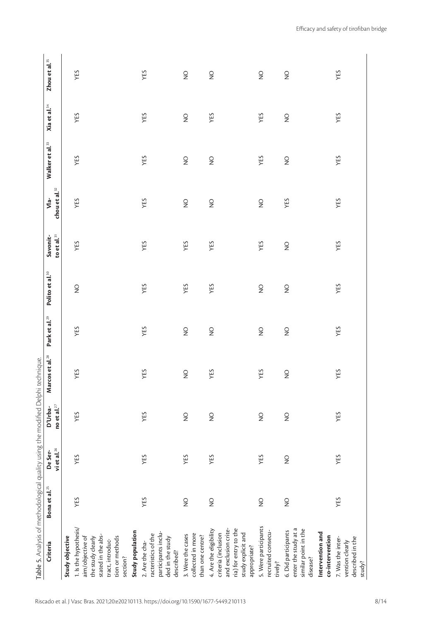| Criteria                                                                                                                                | Bona et al. <sup>25</sup> | vietal. $^{26}$<br>De Ser- | no et al. $^{27}$<br>D'Urba- | Marcos et al. <sup>28</sup> | Park et al. <sup>29</sup> | Polito et al. <sup>30</sup> | to et al. $31$<br>Savonit- | chou et al. <sup>32</sup><br>$Vla$ - | Walker et al. <sup>33</sup> | Xia et al. <sup>34</sup> | Zhou et al. <sup>35</sup> |
|-----------------------------------------------------------------------------------------------------------------------------------------|---------------------------|----------------------------|------------------------------|-----------------------------|---------------------------|-----------------------------|----------------------------|--------------------------------------|-----------------------------|--------------------------|---------------------------|
| Study objective                                                                                                                         |                           |                            |                              |                             |                           |                             |                            |                                      |                             |                          |                           |
| 1. Is the hypothesis/<br>stated in the abs-<br>aim/objective of<br>tion or methods<br>the study clearly<br>tract, introduc-<br>section? | YES                       | YES                        | YES                          | YES                         | YES                       | $\frac{0}{2}$               | YES                        | YES                                  | YES                         | YES                      | YES                       |
| Study population<br>participants inclu-<br>racteristics of the<br>ded in the study<br>2. Are the cha-<br>described?                     | YES                       | YES                        | YES                          | YES                         | YES                       | YES                         | YES                        | YES                                  | YES                         | YES                      | YES                       |
| collected in more<br>3. Were the cases<br>than one centre?                                                                              | $\frac{0}{2}$             | YES                        | $\frac{1}{2}$                | $\frac{0}{2}$               | $\frac{1}{2}$             | YES                         | YES                        | $\frac{1}{2}$                        | $\frac{0}{2}$               | $\frac{1}{2}$            | $\frac{1}{2}$             |
| and exclusion crite-<br>ria) for entry to the<br>4. Are the eligibility<br>criteria (inclusion<br>study explicit and<br>appropriate?    | $\frac{0}{2}$             | YES                        | $\frac{1}{2}$                | YES                         | $\frac{1}{2}$             | YES                         | YES                        | $\frac{1}{2}$                        | $\frac{0}{2}$               | YES                      | $\frac{1}{2}$             |
| 5. Were participants<br>recruited consecu-<br>tively?                                                                                   | $\frac{0}{2}$             | YES                        | $\frac{1}{2}$                | YES                         | $\frac{1}{2}$             | $\frac{0}{2}$               | YES                        | $\frac{1}{2}$                        | YES                         | YES                      | $\frac{1}{2}$             |
| enter the study at a<br>similar point in the<br>6. Did participants<br>Intervention and<br>co-intervention<br>disease?                  | $\frac{0}{2}$             | $\frac{0}{2}$              | $\frac{1}{2}$                | $\frac{0}{2}$               | $\frac{1}{2}$             | $\frac{0}{2}$               | $\frac{1}{2}$              | YES                                  | $\frac{0}{2}$               | $\frac{1}{2}$            | $\frac{1}{2}$             |
| 7. Was the inter-<br>described in the<br>vention clearly<br>study?                                                                      | YES                       | YES                        | YES                          | YES                         | YES                       | YES                         | YES                        | YES                                  | YES                         | YES                      | YES                       |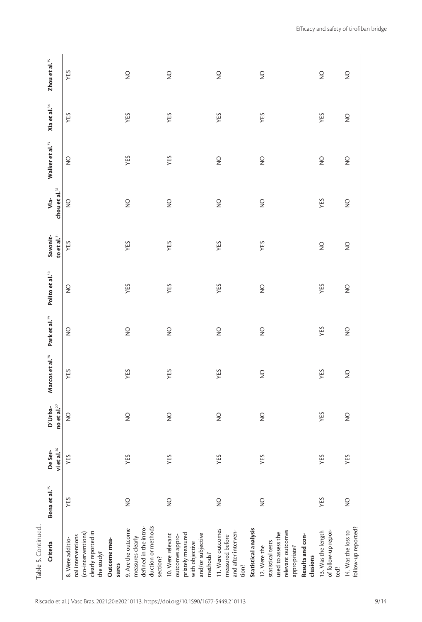| Criteria                                                                                                                     | Bona et al. <sup>25</sup> | vietal. $26$<br>De Ser- | no et al. $^{27}$<br>D'Urba- | Marcos et al. <sup>28</sup> | Park et al. <sup>29</sup> | Polito et al. <sup>30</sup> | to et al. $^{\rm 31}$<br>Savonit- | chou et al. <sup>32</sup><br>$Vla$ - | Walker et al. <sup>33</sup> | Xia et al. <sup>34</sup> | Zhou et al. <sup>35</sup> |
|------------------------------------------------------------------------------------------------------------------------------|---------------------------|-------------------------|------------------------------|-----------------------------|---------------------------|-----------------------------|-----------------------------------|--------------------------------------|-----------------------------|--------------------------|---------------------------|
| clearly reported in<br>(co-interventions)<br>nal interventions<br>8. Were additio-<br>Outcome mea-<br>the study?             | YES                       | YES                     | $\frac{1}{2}$                | YES                         | $\frac{1}{2}$             | $\frac{0}{2}$               | YES                               | $\frac{1}{2}$                        | $\frac{0}{2}$               | YES                      | YES                       |
| duction or methods<br>defined in the intro-<br>9. Are the outcome<br>measures clearly<br>section?<br>sures                   | $\frac{0}{2}$             | YES                     | $\frac{1}{2}$                | YES                         | $\frac{1}{2}$             | YES                         | YES                               | $\frac{1}{2}$                        | YES                         | YES                      | $\frac{1}{2}$             |
| priately measured<br>and/or subjective<br>10. Were relevant<br>outcomes appro-<br>with objective<br>methods?                 | $\frac{0}{2}$             | YES                     | $\frac{1}{2}$                | YES                         | $\frac{1}{2}$             | YES                         | YES                               | $\frac{1}{2}$                        | YES                         | YES                      | $\frac{1}{2}$             |
| Statistical analysis<br>11. Were outcomes<br>and after interven-<br>measured before<br>tion?                                 | $\frac{0}{2}$             | YES                     | $\frac{1}{2}$                | YES                         | $\frac{1}{2}$             | YES                         | YES                               | $\frac{1}{2}$                        | $\frac{0}{2}$               | YES                      | $\frac{1}{2}$             |
| relevant outcomes<br>used to assess the<br>Results and con-<br>statistical tests<br>appropriate?<br>12. Were the<br>clusions | $\frac{0}{2}$             | YES                     | $\frac{1}{2}$                | $\frac{0}{2}$               | $\frac{1}{2}$             | $\frac{0}{2}$               | YES                               | $\frac{1}{2}$                        | $\frac{0}{2}$               | YES                      | $\frac{1}{2}$             |
| 13. Was the length<br>of follow-up repor-<br>ted?                                                                            | YES                       | YES                     | YES                          | YES                         | YES                       | YES                         | $\frac{1}{2}$                     | YES                                  | $\frac{0}{2}$               | YES                      | $\frac{1}{2}$             |
| follow-up reported?<br>14. Was the loss to                                                                                   | $\frac{0}{2}$             | YES                     | $\frac{1}{2}$                | $\frac{0}{2}$               | $\frac{1}{2}$             | $\frac{0}{2}$               | $\frac{1}{2}$                     | $\frac{1}{2}$                        | $\frac{0}{2}$               | $\frac{1}{2}$            | $\frac{1}{2}$             |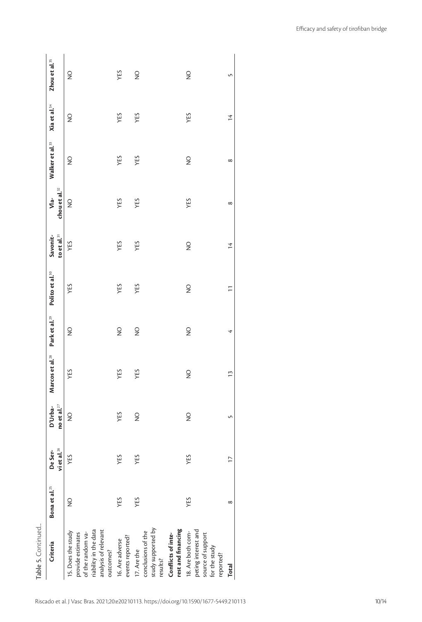| Criteria                                                                                                                   | Bona et al. <sup>25</sup> | vietal. $^{26}$<br>De Ser- | et al. $^{27}$<br>D'Urba-<br>$\tilde{c}$ | Marcos et al. <sup>28</sup> | Park et al. <sup>29</sup> | Polito et al. <sup>30</sup> | to et al. $^{\rm 31}$<br>Savonit- | chou et al. $^{32}$<br>Vla | Walker et al. <sup>33</sup> | Xia et al. <sup>34</sup> | Zhou et al. <sup>35</sup>       |
|----------------------------------------------------------------------------------------------------------------------------|---------------------------|----------------------------|------------------------------------------|-----------------------------|---------------------------|-----------------------------|-----------------------------------|----------------------------|-----------------------------|--------------------------|---------------------------------|
| riability in the data<br>analysis of relevant<br>15. Does the study<br>of the random va-<br>provide estimates<br>outcomes? | $\frac{0}{2}$             | YES                        | $\frac{1}{2}$                            | YES                         | $\frac{1}{2}$             | YES                         | YES                               | $\frac{1}{2}$              | $\frac{0}{2}$               | $\frac{1}{2}$            | $\frac{1}{2}$                   |
| events reported?<br>16. Are adverse                                                                                        | YES                       | YES                        | YES                                      | YES                         | $\frac{1}{2}$             | YES                         | YES                               | YES                        | YES                         | YES                      | YES                             |
| study supported by<br>conclusions of the<br>17. Are the<br>results?                                                        | YES                       | YES                        | $\frac{1}{2}$                            | YES                         | $\frac{1}{2}$             | YES                         | YES                               | YES                        | YES                         | YES                      | $\frac{\mathsf{O}}{\mathsf{Z}}$ |
| rest and financing<br>Conflicts of inte-                                                                                   |                           |                            |                                          |                             |                           |                             |                                   |                            |                             |                          |                                 |
| peting interest and<br>18. Are both com-<br>source of support<br>for the study<br>reported?                                | YES                       | YES                        | $\frac{1}{2}$                            | $\frac{1}{2}$               | $\frac{1}{2}$             | $\frac{1}{2}$               | $\frac{1}{2}$                     | YES                        | $\frac{1}{2}$               | YES                      | $\frac{1}{2}$                   |
| <b>Total</b>                                                                                                               | ${}^{\circ}$              | $\overline{\phantom{0}}$   | S                                        | $\tilde{1}$                 | ෑ                         | $\overline{1}$              | $\frac{4}{3}$                     | ${}^{\circ}$               | $\infty$                    | $\frac{4}{3}$            | S                               |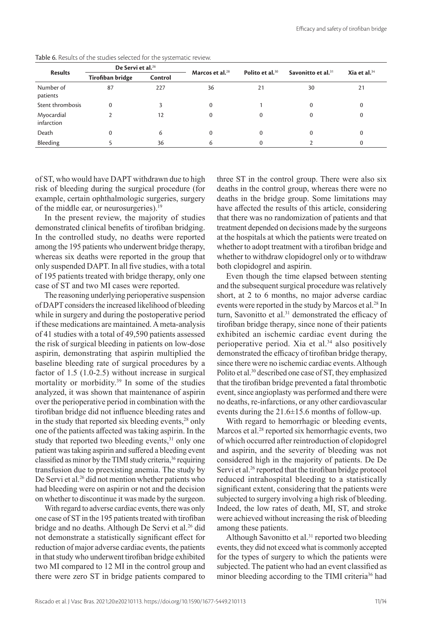|                          | De Servi et al. <sup>26</sup> |         |                             |                             |                                |                 |
|--------------------------|-------------------------------|---------|-----------------------------|-----------------------------|--------------------------------|-----------------|
| <b>Results</b>           | Tirofiban bridge              | Control | Marcos et al. <sup>28</sup> | Polito et al. <sup>30</sup> | Savonitto et al. <sup>31</sup> | Xia et al. $34$ |
| Number of<br>patients    | 87                            | 227     | 36                          | 21                          | 30                             | 21              |
| Stent thrombosis         | $\Omega$                      |         |                             |                             | $\Omega$                       | $\Omega$        |
| Myocardial<br>infarction |                               | 12      | 0                           | 0                           | 0                              | 0               |
| Death                    |                               | 6       |                             |                             | 0                              | 0               |
| Bleeding                 |                               | 36      | 6                           |                             |                                | 0               |

Table 6. Results of the studies selected for the systematic review.

of ST, who would have DAPT withdrawn due to high risk of bleeding during the surgical procedure (for example, certain ophthalmologic surgeries, surgery of the middle ear, or neurosurgeries).<sup>19</sup>

In the present review, the majority of studies demonstrated clinical benefits of tirofiban bridging. In the controlled study, no deaths were reported among the 195 patients who underwent bridge therapy, whereas six deaths were reported in the group that only suspended DAPT. In all five studies, with a total of 195 patients treated with bridge therapy, only one case of ST and two MI cases were reported.

The reasoning underlying perioperative suspension of DAPT considers the increased likelihood of bleeding while in surgery and during the postoperative period if these medications are maintained. A meta-analysis of 41 studies with a total of 49,590 patients assessed the risk of surgical bleeding in patients on low-dose aspirin, demonstrating that aspirin multiplied the baseline bleeding rate of surgical procedures by a factor of 1.5 (1.0-2.5) without increase in surgical mortality or morbidity.39 In some of the studies analyzed, it was shown that maintenance of aspirin over the perioperative period in combination with the tirofiban bridge did not influence bleeding rates and in the study that reported six bleeding events,<sup>28</sup> only one of the patients affected was taking aspirin. In the study that reported two bleeding events,<sup>31</sup> only one patient was taking aspirin and suffered a bleeding event classified as minor by the TIMI study criteria,<sup>36</sup> requiring transfusion due to preexisting anemia. The study by De Servi et al.<sup>26</sup> did not mention whether patients who had bleeding were on aspirin or not and the decision on whether to discontinue it was made by the surgeon.

With regard to adverse cardiac events, there was only one case of ST in the 195 patients treated with tirofiban bridge and no deaths. Although De Servi et al.<sup>26</sup> did not demonstrate a statistically significant effect for reduction of major adverse cardiac events, the patients in that study who underwent tirofiban bridge exhibited two MI compared to 12 MI in the control group and there were zero ST in bridge patients compared to

three ST in the control group. There were also six deaths in the control group, whereas there were no deaths in the bridge group. Some limitations may have affected the results of this article, considering that there was no randomization of patients and that treatment depended on decisions made by the surgeons at the hospitals at which the patients were treated on whether to adopt treatment with a tirofiban bridge and whether to withdraw clopidogrel only or to withdraw both clopidogrel and aspirin.

Even though the time elapsed between stenting and the subsequent surgical procedure was relatively short, at 2 to 6 months, no major adverse cardiac events were reported in the study by Marcos et al.<sup>28</sup> In turn, Savonitto et al.<sup>31</sup> demonstrated the efficacy of tirofiban bridge therapy, since none of their patients exhibited an ischemic cardiac event during the perioperative period. Xia et al.<sup>34</sup> also positively demonstrated the efficacy of tirofiban bridge therapy, since there were no ischemic cardiac events. Although Polito et al.<sup>30</sup> described one case of ST, they emphasized that the tirofiban bridge prevented a fatal thrombotic event, since angioplasty was performed and there were no deaths, re-infarctions, or any other cardiovascular events during the 21.6±15.6 months of follow-up.

With regard to hemorrhagic or bleeding events, Marcos et al.<sup>28</sup> reported six hemorrhagic events, two of which occurred after reintroduction of clopidogrel and aspirin, and the severity of bleeding was not considered high in the majority of patients. De De Servi et al.<sup>26</sup> reported that the tirofiban bridge protocol reduced intrahospital bleeding to a statistically significant extent, considering that the patients were subjected to surgery involving a high risk of bleeding. Indeed, the low rates of death, MI, ST, and stroke were achieved without increasing the risk of bleeding among these patients.

Although Savonitto et al.<sup>31</sup> reported two bleeding events, they did not exceed what is commonly accepted for the types of surgery to which the patients were subjected. The patient who had an event classified as minor bleeding according to the TIMI criteria<sup>36</sup> had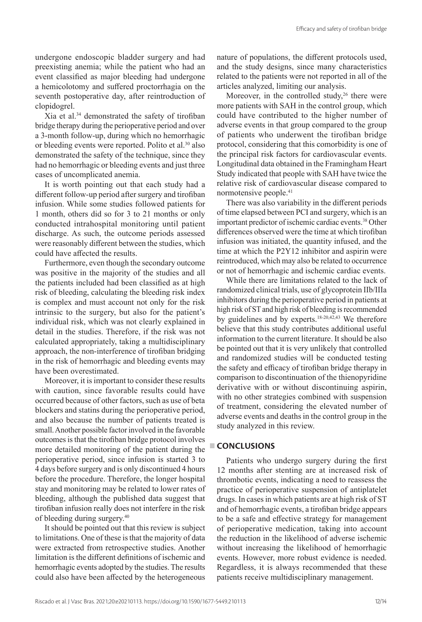undergone endoscopic bladder surgery and had preexisting anemia; while the patient who had an event classified as major bleeding had undergone a hemicolotomy and suffered proctorrhagia on the seventh postoperative day, after reintroduction of clopidogrel.

Xia et al.3<sup>4</sup> demonstrated the safety of tirofiban bridge therapy during the perioperative period and over a 3-month follow-up, during which no hemorrhagic or bleeding events were reported. Polito et al.<sup>30</sup> also demonstrated the safety of the technique, since they had no hemorrhagic or bleeding events and just three cases of uncomplicated anemia.

It is worth pointing out that each study had a different follow-up period after surgery and tirofiban infusion. While some studies followed patients for 1 month, others did so for 3 to 21 months or only conducted intrahospital monitoring until patient discharge. As such, the outcome periods assessed were reasonably different between the studies, which could have affected the results.

Furthermore, even though the secondary outcome was positive in the majority of the studies and all the patients included had been classified as at high risk of bleeding, calculating the bleeding risk index is complex and must account not only for the risk intrinsic to the surgery, but also for the patient's individual risk, which was not clearly explained in detail in the studies. Therefore, if the risk was not calculated appropriately, taking a multidisciplinary approach, the non-interference of tirofiban bridging in the risk of hemorrhagic and bleeding events may have been overestimated.

Moreover, it is important to consider these results with caution, since favorable results could have occurred because of other factors, such as use of beta blockers and statins during the perioperative period, and also because the number of patients treated is small. Another possible factor involved in the favorable outcomes is that the tirofiban bridge protocol involves more detailed monitoring of the patient during the perioperative period, since infusion is started 3 to 4 days before surgery and is only discontinued 4 hours before the procedure. Therefore, the longer hospital stay and monitoring may be related to lower rates of bleeding, although the published data suggest that tirofiban infusion really does not interfere in the risk of bleeding during surgery.<sup>40</sup>

It should be pointed out that this review is subject to limitations. One of these is that the majority of data were extracted from retrospective studies. Another limitation is the different definitions of ischemic and hemorrhagic events adopted by the studies. The results could also have been affected by the heterogeneous

nature of populations, the different protocols used, and the study designs, since many characteristics related to the patients were not reported in all of the articles analyzed, limiting our analysis.

Moreover, in the controlled study, $26$  there were more patients with SAH in the control group, which could have contributed to the higher number of adverse events in that group compared to the group of patients who underwent the tirofiban bridge protocol, considering that this comorbidity is one of the principal risk factors for cardiovascular events. Longitudinal data obtained in the Framingham Heart Study indicated that people with SAH have twice the relative risk of cardiovascular disease compared to normotensive people.<sup>41</sup>

There was also variability in the different periods of time elapsed between PCI and surgery, which is an important predictor of ischemic cardiac events.38 Other differences observed were the time at which tirofiban infusion was initiated, the quantity infused, and the time at which the P2Y12 inhibitor and aspirin were reintroduced, which may also be related to occurrence or not of hemorrhagic and ischemic cardiac events.

While there are limitations related to the lack of randomized clinical trials, use of glycoprotein IIb/IIIa inhibitors during the perioperative period in patients at high risk of ST and high risk of bleeding is recommended by guidelines and by experts. $18-20,42,43$  We therefore believe that this study contributes additional useful information to the current literature. It should be also be pointed out that it is very unlikely that controlled and randomized studies will be conducted testing the safety and efficacy of tirofiban bridge therapy in comparison to discontinuation of the thienopyridine derivative with or without discontinuing aspirin, with no other strategies combined with suspension of treatment, considering the elevated number of adverse events and deaths in the control group in the study analyzed in this review.

# **CONCLUSIONS**

Patients who undergo surgery during the first 12 months after stenting are at increased risk of thrombotic events, indicating a need to reassess the practice of perioperative suspension of antiplatelet drugs. In cases in which patients are at high risk of ST and of hemorrhagic events, a tirofiban bridge appears to be a safe and effective strategy for management of perioperative medication, taking into account the reduction in the likelihood of adverse ischemic without increasing the likelihood of hemorrhagic events. However, more robust evidence is needed. Regardless, it is always recommended that these patients receive multidisciplinary management.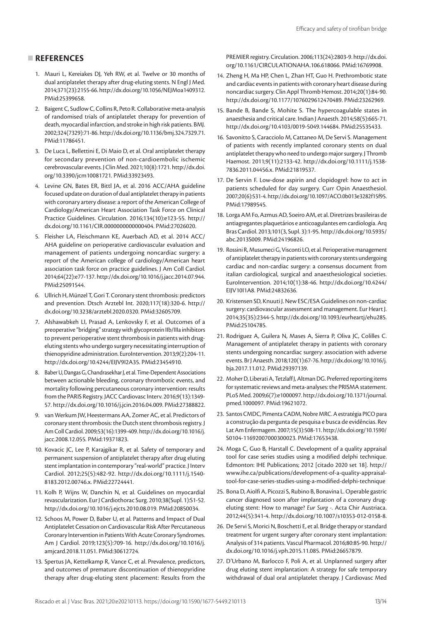# **REFERENCES**

- 1. Mauri L, Kereiakes DJ, Yeh RW, et al. Twelve or 30 months of dual antiplatelet therapy after drug-eluting stents. N Engl J Med. 2014;371(23):2155-66. [http://dx.doi.org/10.1056/NEJMoa1409312.](https://doi.org/10.1056/NEJMoa1409312) [PMid:25399658.](https://www.ncbi.nlm.nih.gov/entrez/query.fcgi?cmd=Retrieve&db=PubMed&list_uids=25399658&dopt=Abstract)
- 2. Baigent C, Sudlow C, Collins R, Peto R. Collaborative meta-analysis of randomised trials of antiplatelet therapy for prevention of death, myocardial infarction, and stroke in high risk patients. BMJ. 2002;324(7329):71-86. [http://dx.doi.org/10.1136/bmj.324.7329.71.](https://doi.org/10.1136/bmj.324.7329.71) [PMid:11786451.](https://www.ncbi.nlm.nih.gov/entrez/query.fcgi?cmd=Retrieve&db=PubMed&list_uids=11786451&dopt=Abstract)
- 3. De Luca L, Bellettini E, Di Maio D, et al. Oral antiplatelet therapy for secondary prevention of non-cardioembolic ischemic cerebrovascular events. J Clin Med. 2021;10(8):1721. [http://dx.doi.](https://doi.org/10.3390/jcm10081721) [org/10.3390/jcm10081721](https://doi.org/10.3390/jcm10081721). [PMid:33923493.](https://www.ncbi.nlm.nih.gov/entrez/query.fcgi?cmd=Retrieve&db=PubMed&list_uids=33923493&dopt=Abstract)
- 4. Levine GN, Bates ER, Bittl JA, et al. 2016 ACC/AHA guideline focused update on duration of dual antiplatelet therapy in patients with coronary artery disease: a report of the American College of Cardiology/American Heart Association Task Force on Clinical Practice Guidelines. Circulation. 2016;134(10):e123-55. [http://](https://doi.org/10.1161/CIR.0000000000000404) [dx.doi.org/10.1161/CIR.0000000000000404](https://doi.org/10.1161/CIR.0000000000000404). [PMid:27026020.](https://www.ncbi.nlm.nih.gov/entrez/query.fcgi?cmd=Retrieve&db=PubMed&list_uids=27026020&dopt=Abstract)
- 5. Fleisher LA, Fleischmann KE, Auerbach AD, et al. 2014 ACC/ AHA guideline on perioperative cardiovascular evaluation and management of patients undergoing noncardiac surgery: a report of the American college of cardiology/American heart association task force on practice guidelines. J Am Coll Cardiol. 2014;64(22):e77-137. [http://dx.doi.org/10.1016/j.jacc.2014.07.944.](https://doi.org/10.1016/j.jacc.2014.07.944) [PMid:25091544.](https://www.ncbi.nlm.nih.gov/entrez/query.fcgi?cmd=Retrieve&db=PubMed&list_uids=25091544&dopt=Abstract)
- 6. Ullrich H, Münzel T, Gori T. Coronary stent thrombosis: predictors and prevention. Dtsch Arztebl Int. 2020;117(18):320-6. http:// dx.doi.org/10.3238/arztebl.2020.0320. [PMid:32605709.](https://www.ncbi.nlm.nih.gov/entrez/query.fcgi?cmd=Retrieve&db=PubMed&list_uids=32605709&dopt=Abstract)
- 7. Alshawabkeh LI, Prasad A, Lenkovsky F, et al. Outcomes of a preoperative "bridging" strategy with glycoprotein IIb/IIIa inhibitors to prevent perioperative stent thrombosis in patients with drugeluting stents who undergo surgery necessitating interruption of thienopyridine administration. EuroIntervention. 2013;9(2):204-11. [http://dx.doi.org/10.4244/EIJV9I2A35](https://doi.org/10.4244/EIJV9I2A35). [PMid:23454910.](https://www.ncbi.nlm.nih.gov/entrez/query.fcgi?cmd=Retrieve&db=PubMed&list_uids=23454910&dopt=Abstract)
- 8. Baber U, Dangas G, Chandrasekhar J, et al. Time-Dependent Associations between actionable bleeding, coronary thrombotic events, and mortality following percutaneous coronary intervention: results from the PARIS Registry. JACC Cardiovasc Interv. 2016;9(13):1349- 57. [http://dx.doi.org/10.1016/j.jcin.2016.04.009](https://doi.org/10.1016/j.jcin.2016.04.009). [PMid:27388822.](https://www.ncbi.nlm.nih.gov/entrez/query.fcgi?cmd=Retrieve&db=PubMed&list_uids=27388822&dopt=Abstract)
- 9. van Werkum JW, Heestermans AA, Zomer AC, et al. Predictors of coronary stent thrombosis: the Dutch stent thrombosis registry. J Am Coll Cardiol. 2009;53(16):1399-409. [http://dx.doi.org/10.1016/j.](https://doi.org/10.1016/j.jacc.2008.12.055) [jacc.2008.12.055](https://doi.org/10.1016/j.jacc.2008.12.055). [PMid:19371823.](https://www.ncbi.nlm.nih.gov/entrez/query.fcgi?cmd=Retrieve&db=PubMed&list_uids=19371823&dopt=Abstract)
- 10. Kovacic JC, Lee P, Karajgikar R, et al. Safety of temporary and permanent suspension of antiplatelet therapy after drug eluting stent implantation in contemporary "real-world" practice. J Interv Cardiol. 2012;25(5):482-92. [http://dx.doi.org/10.1111/j.1540-](https://doi.org/10.1111/j.1540-8183.2012.00746.x) [8183.2012.00746.x.](https://doi.org/10.1111/j.1540-8183.2012.00746.x) [PMid:22724441.](https://www.ncbi.nlm.nih.gov/entrez/query.fcgi?cmd=Retrieve&db=PubMed&list_uids=22724441&dopt=Abstract)
- 11. Kolh P, Wijns W, Danchin N, et al. Guidelines on myocardial revascularization. Eur J Cardiothorac Surg. 2010;38(Supl. 1):S1-52. [http://dx.doi.org/10.1016/j.ejcts.2010.08.019](https://doi.org/10.1016/j.ejcts.2010.08.019). [PMid:20850034.](https://www.ncbi.nlm.nih.gov/entrez/query.fcgi?cmd=Retrieve&db=PubMed&list_uids=20850034&dopt=Abstract)
- 12. Schoos M, Power D, Baber U, et al. Patterns and Impact of Dual Antiplatelet Cessation on Cardiovascular Risk After Percutaneous Coronary Intervention in Patients With Acute Coronary Syndromes. Am J Cardiol. 2019;123(5):709-16. [http://dx.doi.org/10.1016/j.](https://doi.org/10.1016/j.amjcard.2018.11.051) [amjcard.2018.11.051](https://doi.org/10.1016/j.amjcard.2018.11.051). [PMid:30612724.](https://www.ncbi.nlm.nih.gov/entrez/query.fcgi?cmd=Retrieve&db=PubMed&list_uids=30612724&dopt=Abstract)
- 13. Spertus JA, Kettelkamp R, Vance C, et al. Prevalence, predictors, and outcomes of premature discontinuation of thienopyridine therapy after drug-eluting stent placement: Results from the

PREMIER registry. Circulation. 2006;113(24):2803-9. [http://dx.doi.](https://doi.org/10.1161/CIRCULATIONAHA.106.618066) [org/10.1161/CIRCULATIONAHA.106.618066.](https://doi.org/10.1161/CIRCULATIONAHA.106.618066) [PMid:16769908.](https://www.ncbi.nlm.nih.gov/entrez/query.fcgi?cmd=Retrieve&db=PubMed&list_uids=16769908&dopt=Abstract)

- 14. Zheng H, Ma HP, Chen L, Zhan HT, Guo H. Prethrombotic state and cardiac events in patients with coronary heart disease during noncardiac surgery. Clin Appl Thromb Hemost. 2014;20(1):84-90. [http://dx.doi.org/10.1177/1076029612470489](https://doi.org/10.1177/1076029612470489). [PMid:23262969.](https://www.ncbi.nlm.nih.gov/entrez/query.fcgi?cmd=Retrieve&db=PubMed&list_uids=23262969&dopt=Abstract)
- 15. Bande B, Bande S, Mohite S. The hypercoagulable states in anaesthesia and critical care. Indian J Anaesth. 2014;58(5):665-71. [http://dx.doi.org/10.4103/0019-5049.144684.](https://doi.org/10.4103/0019-5049.144684) [PMid:25535433.](https://www.ncbi.nlm.nih.gov/entrez/query.fcgi?cmd=Retrieve&db=PubMed&list_uids=25535433&dopt=Abstract)
- 16. Savonitto S, Caracciolo M, Cattaneo M, De Servi S. Management of patients with recently implanted coronary stents on dual antiplatelet therapy who need to undergo major surgery. J Thromb Haemost. 2011;9(11):2133-42. [http://dx.doi.org/10.1111/j.1538-](https://doi.org/10.1111/j.1538-7836.2011.04456.x) [7836.2011.04456.x](https://doi.org/10.1111/j.1538-7836.2011.04456.x). [PMid:21819537.](https://www.ncbi.nlm.nih.gov/entrez/query.fcgi?cmd=Retrieve&db=PubMed&list_uids=21819537&dopt=Abstract)
- 17. De Servin F. Low-dose aspirin and clopidogrel: how to act in patients scheduled for day surgery. Curr Opin Anaesthesiol. 2007;20(6):531-4. [http://dx.doi.org/10.1097/ACO.0b013e3282f15f95](https://doi.org/10.1097/ACO.0b013e3282f15f95). [PMid:17989545.](https://www.ncbi.nlm.nih.gov/entrez/query.fcgi?cmd=Retrieve&db=PubMed&list_uids=17989545&dopt=Abstract)
- 18. Lorga AM Fo, Azmus AD, Soeiro AM, et al. Diretrizes brasileiras de antiagregantes plaquetários e anticoagulantes em cardiologia. Arq Bras Cardiol. 2013;101(3, Supl. 3):1-95. [http://dx.doi.org/10.5935/](https://doi.org/10.5935/abc.2013S009) [abc.2013S009](https://doi.org/10.5935/abc.2013S009). [PMid:24196826.](https://www.ncbi.nlm.nih.gov/entrez/query.fcgi?cmd=Retrieve&db=PubMed&list_uids=24196826&dopt=Abstract)
- 19. Rossini R, Musumeci G, Visconti LO, et al. Perioperative management of antiplatelet therapy in patients with coronary stents undergoing cardiac and non-cardiac surgery: a consensus document from italian cardiological, surgical and anaesthesiological societies. EuroIntervention. 2014;10(1):38-46. [http://dx.doi.org/10.4244/](https://doi.org/10.4244/EIJV10I1A8) [EIJV10I1A8](https://doi.org/10.4244/EIJV10I1A8). [PMid:24832636.](https://www.ncbi.nlm.nih.gov/entrez/query.fcgi?cmd=Retrieve&db=PubMed&list_uids=24832636&dopt=Abstract)
- 20. Kristensen SD, Knuuti J. New ESC/ESA Guidelines on non-cardiac surgery: cardiovascular assessment and management. Eur Heart J. 2014;35(35):2344-5. [http://dx.doi.org/10.1093/eurheartj/ehu285](https://doi.org/10.1093/eurheartj/ehu285). [PMid:25104785.](https://www.ncbi.nlm.nih.gov/entrez/query.fcgi?cmd=Retrieve&db=PubMed&list_uids=25104785&dopt=Abstract)
- 21. Rodriguez A, Guilera N, Mases A, Sierra P, Oliva JC, Colilles C. Management of antiplatelet therapy in patients with coronary stents undergoing noncardiac surgery: association with adverse events. Br J Anaesth. 2018;120(1):67-76. [http://dx.doi.org/10.1016/j.](https://doi.org/10.1016/j.bja.2017.11.012) [bja.2017.11.012](https://doi.org/10.1016/j.bja.2017.11.012). [PMid:29397139.](https://www.ncbi.nlm.nih.gov/entrez/query.fcgi?cmd=Retrieve&db=PubMed&list_uids=29397139&dopt=Abstract)
- 22. Moher D, Liberati A, Tetzlaff J, Altman DG. Preferred reporting items for systematic reviews and meta-analyses: the PRISMA statement. PLoS Med. 2009;6(7):e1000097. [http://dx.doi.org/10.1371/journal.](https://doi.org/10.1371/journal.pmed.1000097) [pmed.1000097](https://doi.org/10.1371/journal.pmed.1000097)[. PMid:19621072.](https://www.ncbi.nlm.nih.gov/entrez/query.fcgi?cmd=Retrieve&db=PubMed&list_uids=19621072&dopt=Abstract)
- 23. Santos CMDC, Pimenta CADM, Nobre MRC. A estratégia PICO para a construção da pergunta de pesquisa e busca de evidências. Rev Lat Am Enfermagem. 2007;15(3):508-11. [http://dx.doi.org/10.1590/](https://doi.org/10.1590/S0104-11692007000300023) [S0104-11692007000300023](https://doi.org/10.1590/S0104-11692007000300023). [PMid:17653438.](https://www.ncbi.nlm.nih.gov/entrez/query.fcgi?cmd=Retrieve&db=PubMed&list_uids=17653438&dopt=Abstract)
- 24. Moga C, Guo B, Harstall C. Development of a quality appraisal tool for case series studies using a modified delphi technique. Edmonton: IHE Publications; 2012 [citado 2020 set 18]. http:// www.ihe.ca/publications/development-of-a-quality-appraisaltool-for-case-series-studies-using-a-modified-delphi-technique
- 25. Bona D, Aiolfi A, Picozzi S, Rubino B, Bonavina L. Operable gastric cancer diagnosed soon after implantation of a coronary drugeluting stent: How to manage? *Eur Surg -.* Acta Chir Austriaca. 2012;44(5):341-4. [http://dx.doi.org/10.1007/s10353-012-0158-8](https://doi.org/10.1007/s10353-012-0158-8).
- 26. De Servi S, Morici N, Boschetti E, et al. Bridge therapy or standard treatment for urgent surgery after coronary stent implantation: Analysis of 314 patients. Vascul Pharmacol. 2016;80:85-90. [http://](https://doi.org/10.1016/j.vph.2015.11.085) [dx.doi.org/10.1016/j.vph.2015.11.085](https://doi.org/10.1016/j.vph.2015.11.085)[. PMid:26657879.](https://www.ncbi.nlm.nih.gov/entrez/query.fcgi?cmd=Retrieve&db=PubMed&list_uids=26657879&dopt=Abstract)
- 27. D'Urbano M, Barlocco F, Poli A, et al. Unplanned surgery after drug eluting stent implantation: A strategy for safe temporary withdrawal of dual oral antiplatelet therapy. J Cardiovasc Med